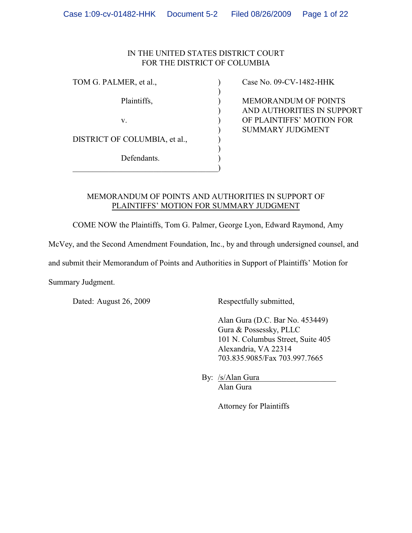## IN THE UNITED STATES DISTRICT COURT FOR THE DISTRICT OF COLUMBIA

)

)

DISTRICT OF COLUMBIA, et al.,

Defendants.

 $\hspace{.5em}$   $\hspace{.5em}$   $\hspace{.5em}$   $\hspace{.5em}$   $\hspace{.5em}$   $\hspace{.5em}$   $\hspace{.5em}$   $\hspace{.5em}$   $\hspace{.5em}$   $\hspace{.5em}$   $\hspace{.5em}$   $\hspace{.5em}$   $\hspace{.5em}$   $\hspace{.5em}$   $\hspace{.5em}$   $\hspace{.5em}$   $\hspace{.5em}$   $\hspace{.5em}$   $\hspace{.5em}$   $\hspace{.5em}$ 

TOM G. PALMER, et al.,  $\qquad \qquad$  (ase No. 09-CV-1482-HHK)

Plaintiffs,  $MENORANDUM$  OF POINTS ) AND AUTHORITIES IN SUPPORT v. ) OF PLAINTIFFS' MOTION FOR ) SUMMARY JUDGMENT

## MEMORANDUM OF POINTS AND AUTHORITIES IN SUPPORT OF PLAINTIFFS' MOTION FOR SUMMARY JUDGMENT

COME NOW the Plaintiffs, Tom G. Palmer, George Lyon, Edward Raymond, Amy

McVey, and the Second Amendment Foundation, Inc., by and through undersigned counsel, and

and submit their Memorandum of Points and Authorities in Support of Plaintiffs' Motion for

Summary Judgment.

Dated: August 26, 2009 Respectfully submitted,

Alan Gura (D.C. Bar No. 453449) Gura & Possessky, PLLC 101 N. Columbus Street, Suite 405 Alexandria, VA 22314 703.835.9085/Fax 703.997.7665

By: /s/Alan Gura\_ Alan Gura

Attorney for Plaintiffs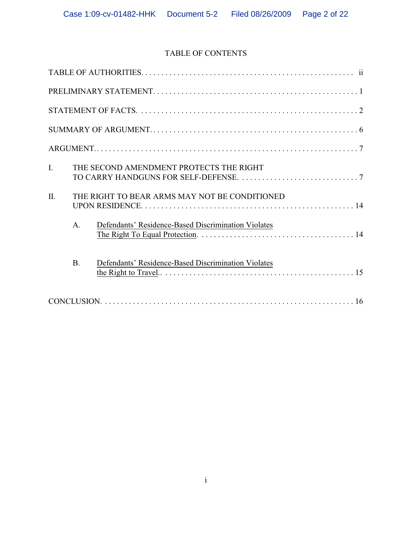# TABLE OF CONTENTS

| $\mathbf{I}$ . |                | THE SECOND AMENDMENT PROTECTS THE RIGHT             |
|----------------|----------------|-----------------------------------------------------|
| $\Pi$ .        |                | THE RIGHT TO BEAR ARMS MAY NOT BE CONDITIONED       |
|                | A <sub>1</sub> | Defendants' Residence-Based Discrimination Violates |
|                | <b>B.</b>      | Defendants' Residence-Based Discrimination Violates |
|                |                |                                                     |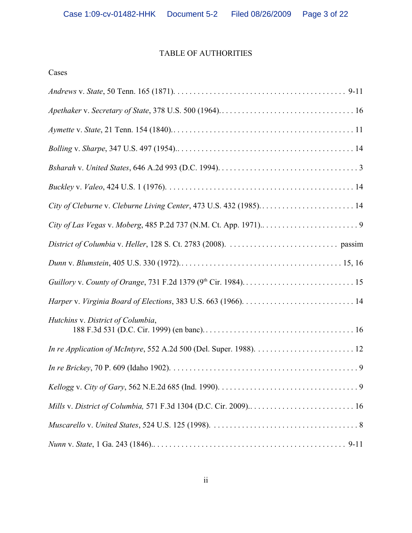# TABLE OF AUTHORITIES

| City of Cleburne v. Cleburne Living Center, 473 U.S. 432 (1985) 14 |
|--------------------------------------------------------------------|
|                                                                    |
|                                                                    |
|                                                                    |
|                                                                    |
|                                                                    |
| Hutchins v. District of Columbia,                                  |
|                                                                    |
|                                                                    |
|                                                                    |
| Mills v. District of Columbia, 571 F.3d 1304 (D.C. Cir. 2009) 16   |
|                                                                    |
|                                                                    |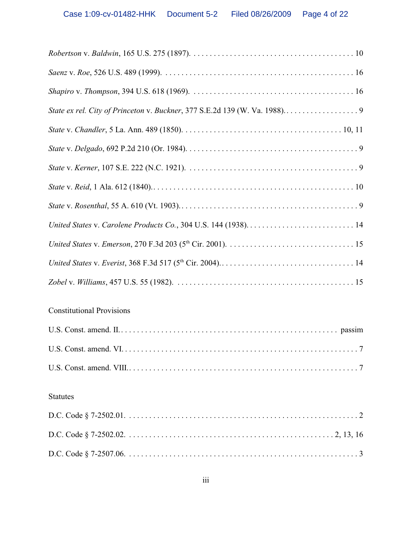# Constitutional Provisions

# Statutes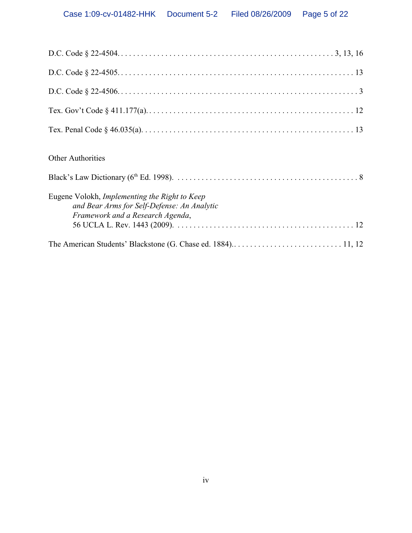| <b>Other Authorities</b>                                                                                                         |
|----------------------------------------------------------------------------------------------------------------------------------|
| Eugene Volokh, Implementing the Right to Keep<br>and Bear Arms for Self-Defense: An Analytic<br>Framework and a Research Agenda, |
|                                                                                                                                  |
|                                                                                                                                  |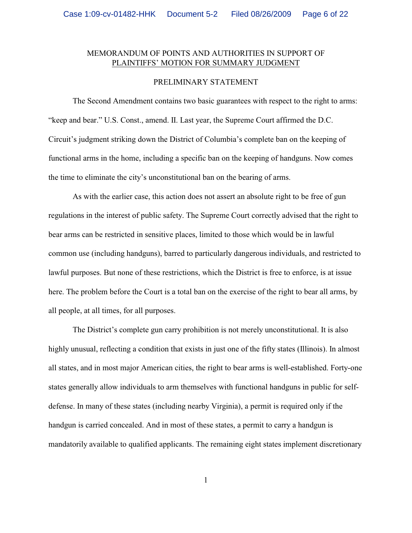## MEMORANDUM OF POINTS AND AUTHORITIES IN SUPPORT OF PLAINTIFFS' MOTION FOR SUMMARY JUDGMENT

#### PRELIMINARY STATEMENT

The Second Amendment contains two basic guarantees with respect to the right to arms: "keep and bear." U.S. Const., amend. II. Last year, the Supreme Court affirmed the D.C. Circuit's judgment striking down the District of Columbia's complete ban on the keeping of functional arms in the home, including a specific ban on the keeping of handguns. Now comes the time to eliminate the city's unconstitutional ban on the bearing of arms.

As with the earlier case, this action does not assert an absolute right to be free of gun regulations in the interest of public safety. The Supreme Court correctly advised that the right to bear arms can be restricted in sensitive places, limited to those which would be in lawful common use (including handguns), barred to particularly dangerous individuals, and restricted to lawful purposes. But none of these restrictions, which the District is free to enforce, is at issue here. The problem before the Court is a total ban on the exercise of the right to bear all arms, by all people, at all times, for all purposes.

The District's complete gun carry prohibition is not merely unconstitutional. It is also highly unusual, reflecting a condition that exists in just one of the fifty states (Illinois). In almost all states, and in most major American cities, the right to bear arms is well-established. Forty-one states generally allow individuals to arm themselves with functional handguns in public for selfdefense. In many of these states (including nearby Virginia), a permit is required only if the handgun is carried concealed. And in most of these states, a permit to carry a handgun is mandatorily available to qualified applicants. The remaining eight states implement discretionary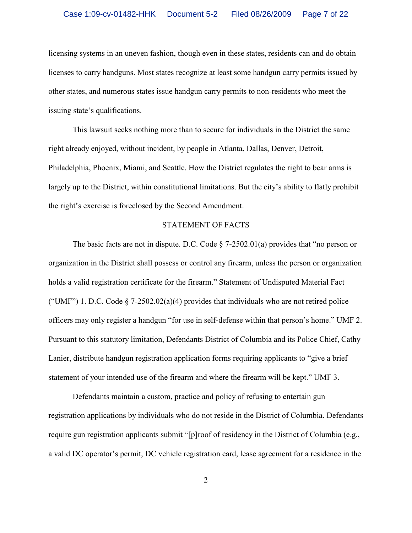licensing systems in an uneven fashion, though even in these states, residents can and do obtain licenses to carry handguns. Most states recognize at least some handgun carry permits issued by other states, and numerous states issue handgun carry permits to non-residents who meet the issuing state's qualifications.

This lawsuit seeks nothing more than to secure for individuals in the District the same right already enjoyed, without incident, by people in Atlanta, Dallas, Denver, Detroit, Philadelphia, Phoenix, Miami, and Seattle. How the District regulates the right to bear arms is largely up to the District, within constitutional limitations. But the city's ability to flatly prohibit the right's exercise is foreclosed by the Second Amendment.

#### STATEMENT OF FACTS

The basic facts are not in dispute. D.C. Code  $\S$  7-2502.01(a) provides that "no person or organization in the District shall possess or control any firearm, unless the person or organization holds a valid registration certificate for the firearm." Statement of Undisputed Material Fact ("UMF") 1. D.C. Code  $\S$  7-2502.02(a)(4) provides that individuals who are not retired police officers may only register a handgun "for use in self-defense within that person's home." UMF 2. Pursuant to this statutory limitation, Defendants District of Columbia and its Police Chief, Cathy Lanier, distribute handgun registration application forms requiring applicants to "give a brief statement of your intended use of the firearm and where the firearm will be kept." UMF 3.

Defendants maintain a custom, practice and policy of refusing to entertain gun registration applications by individuals who do not reside in the District of Columbia. Defendants require gun registration applicants submit "[p]roof of residency in the District of Columbia (e.g., a valid DC operator's permit, DC vehicle registration card, lease agreement for a residence in the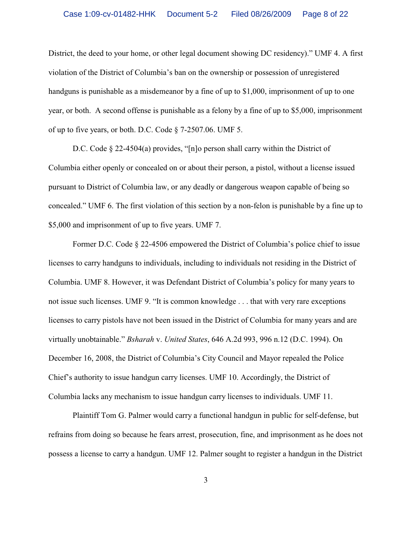District, the deed to your home, or other legal document showing DC residency)." UMF 4. A first violation of the District of Columbia's ban on the ownership or possession of unregistered handguns is punishable as a misdemeanor by a fine of up to \$1,000, imprisonment of up to one year, or both. A second offense is punishable as a felony by a fine of up to \$5,000, imprisonment of up to five years, or both. D.C. Code § 7-2507.06. UMF 5.

D.C. Code § 22-4504(a) provides, "[n]o person shall carry within the District of Columbia either openly or concealed on or about their person, a pistol, without a license issued pursuant to District of Columbia law, or any deadly or dangerous weapon capable of being so concealed." UMF 6. The first violation of this section by a non-felon is punishable by a fine up to \$5,000 and imprisonment of up to five years. UMF 7.

Former D.C. Code § 22-4506 empowered the District of Columbia's police chief to issue licenses to carry handguns to individuals, including to individuals not residing in the District of Columbia. UMF 8. However, it was Defendant District of Columbia's policy for many years to not issue such licenses. UMF 9. "It is common knowledge . . . that with very rare exceptions licenses to carry pistols have not been issued in the District of Columbia for many years and are virtually unobtainable." *Bsharah* v. *United States*, 646 A.2d 993, 996 n.12 (D.C. 1994). On December 16, 2008, the District of Columbia's City Council and Mayor repealed the Police Chief's authority to issue handgun carry licenses. UMF 10. Accordingly, the District of Columbia lacks any mechanism to issue handgun carry licenses to individuals. UMF 11.

Plaintiff Tom G. Palmer would carry a functional handgun in public for self-defense, but refrains from doing so because he fears arrest, prosecution, fine, and imprisonment as he does not possess a license to carry a handgun. UMF 12. Palmer sought to register a handgun in the District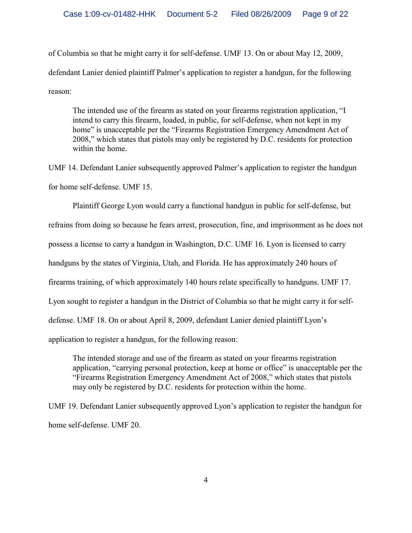of Columbia so that he might carry it for self-defense. UMF 13. On or about May 12, 2009, defendant Lanier denied plaintiff Palmer's application to register a handgun, for the following reason:

The intended use of the firearm as stated on your firearms registration application, "I intend to carry this firearm, loaded, in public, for self-defense, when not kept in my home" is unacceptable per the "Firearms Registration Emergency Amendment Act of 2008," which states that pistols may only be registered by D.C. residents for protection within the home.

UMF 14. Defendant Lanier subsequently approved Palmer's application to register the handgun for home self-defense. UMF 15.

Plaintiff George Lyon would carry a functional handgun in public for self-defense, but refrains from doing so because he fears arrest, prosecution, fine, and imprisonment as he does not possess a license to carry a handgun in Washington, D.C. UMF 16. Lyon is licensed to carry handguns by the states of Virginia, Utah, and Florida. He has approximately 240 hours of firearms training, of which approximately 140 hours relate specifically to handguns. UMF 17. Lyon sought to register a handgun in the District of Columbia so that he might carry it for selfdefense. UMF 18. On or about April 8, 2009, defendant Lanier denied plaintiff Lyon's application to register a handgun, for the following reason:

The intended storage and use of the firearm as stated on your firearms registration application, "carrying personal protection, keep at home or office" is unacceptable per the "Firearms Registration Emergency Amendment Act of 2008," which states that pistols may only be registered by D.C. residents for protection within the home.

UMF 19. Defendant Lanier subsequently approved Lyon's application to register the handgun for home self-defense. UMF 20.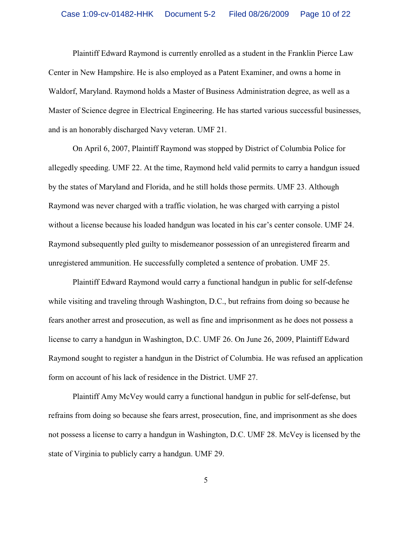Plaintiff Edward Raymond is currently enrolled as a student in the Franklin Pierce Law Center in New Hampshire. He is also employed as a Patent Examiner, and owns a home in Waldorf, Maryland. Raymond holds a Master of Business Administration degree, as well as a Master of Science degree in Electrical Engineering. He has started various successful businesses, and is an honorably discharged Navy veteran. UMF 21.

On April 6, 2007, Plaintiff Raymond was stopped by District of Columbia Police for allegedly speeding. UMF 22. At the time, Raymond held valid permits to carry a handgun issued by the states of Maryland and Florida, and he still holds those permits. UMF 23. Although Raymond was never charged with a traffic violation, he was charged with carrying a pistol without a license because his loaded handgun was located in his car's center console. UMF 24. Raymond subsequently pled guilty to misdemeanor possession of an unregistered firearm and unregistered ammunition. He successfully completed a sentence of probation. UMF 25.

Plaintiff Edward Raymond would carry a functional handgun in public for self-defense while visiting and traveling through Washington, D.C., but refrains from doing so because he fears another arrest and prosecution, as well as fine and imprisonment as he does not possess a license to carry a handgun in Washington, D.C. UMF 26. On June 26, 2009, Plaintiff Edward Raymond sought to register a handgun in the District of Columbia. He was refused an application form on account of his lack of residence in the District. UMF 27.

Plaintiff Amy McVey would carry a functional handgun in public for self-defense, but refrains from doing so because she fears arrest, prosecution, fine, and imprisonment as she does not possess a license to carry a handgun in Washington, D.C. UMF 28. McVey is licensed by the state of Virginia to publicly carry a handgun. UMF 29.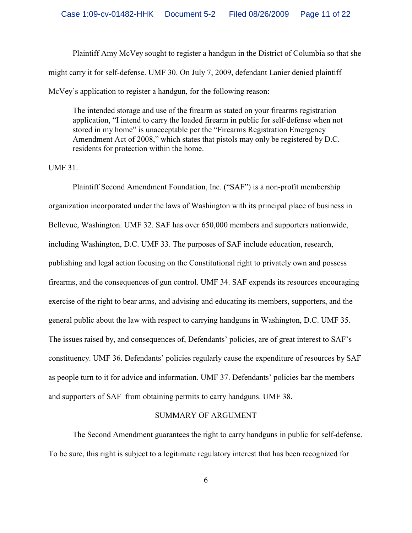Plaintiff Amy McVey sought to register a handgun in the District of Columbia so that she might carry it for self-defense. UMF 30. On July 7, 2009, defendant Lanier denied plaintiff McVey's application to register a handgun, for the following reason:

The intended storage and use of the firearm as stated on your firearms registration application, "I intend to carry the loaded firearm in public for self-defense when not stored in my home" is unacceptable per the "Firearms Registration Emergency Amendment Act of 2008," which states that pistols may only be registered by D.C. residents for protection within the home.

UMF 31.

Plaintiff Second Amendment Foundation, Inc. ("SAF") is a non-profit membership organization incorporated under the laws of Washington with its principal place of business in Bellevue, Washington. UMF 32. SAF has over 650,000 members and supporters nationwide, including Washington, D.C. UMF 33. The purposes of SAF include education, research, publishing and legal action focusing on the Constitutional right to privately own and possess firearms, and the consequences of gun control. UMF 34. SAF expends its resources encouraging exercise of the right to bear arms, and advising and educating its members, supporters, and the general public about the law with respect to carrying handguns in Washington, D.C. UMF 35. The issues raised by, and consequences of, Defendants' policies, are of great interest to SAF's constituency. UMF 36. Defendants' policies regularly cause the expenditure of resources by SAF as people turn to it for advice and information. UMF 37. Defendants' policies bar the members and supporters of SAF from obtaining permits to carry handguns. UMF 38.

#### SUMMARY OF ARGUMENT

The Second Amendment guarantees the right to carry handguns in public for self-defense. To be sure, this right is subject to a legitimate regulatory interest that has been recognized for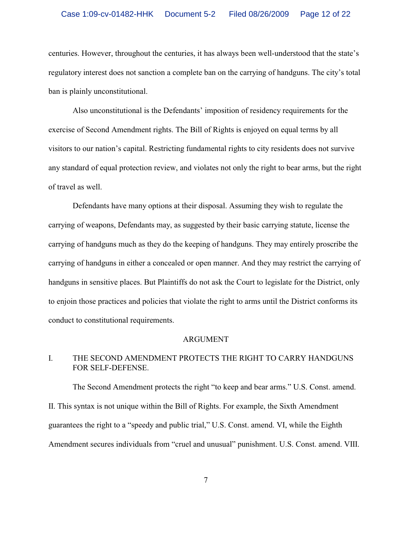centuries. However, throughout the centuries, it has always been well-understood that the state's regulatory interest does not sanction a complete ban on the carrying of handguns. The city's total ban is plainly unconstitutional.

Also unconstitutional is the Defendants' imposition of residency requirements for the exercise of Second Amendment rights. The Bill of Rights is enjoyed on equal terms by all visitors to our nation's capital. Restricting fundamental rights to city residents does not survive any standard of equal protection review, and violates not only the right to bear arms, but the right of travel as well.

Defendants have many options at their disposal. Assuming they wish to regulate the carrying of weapons, Defendants may, as suggested by their basic carrying statute, license the carrying of handguns much as they do the keeping of handguns. They may entirely proscribe the carrying of handguns in either a concealed or open manner. And they may restrict the carrying of handguns in sensitive places. But Plaintiffs do not ask the Court to legislate for the District, only to enjoin those practices and policies that violate the right to arms until the District conforms its conduct to constitutional requirements.

#### ARGUMENT

## I. THE SECOND AMENDMENT PROTECTS THE RIGHT TO CARRY HANDGUNS FOR SELF-DEFENSE.

The Second Amendment protects the right "to keep and bear arms." U.S. Const. amend. II. This syntax is not unique within the Bill of Rights. For example, the Sixth Amendment guarantees the right to a "speedy and public trial," U.S. Const. amend. VI, while the Eighth Amendment secures individuals from "cruel and unusual" punishment. U.S. Const. amend. VIII.

7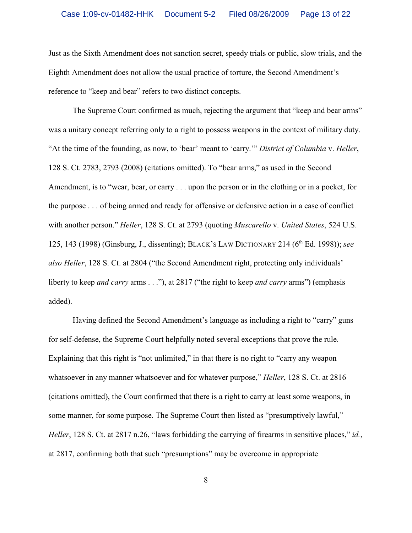Just as the Sixth Amendment does not sanction secret, speedy trials or public, slow trials, and the Eighth Amendment does not allow the usual practice of torture, the Second Amendment's reference to "keep and bear" refers to two distinct concepts.

The Supreme Court confirmed as much, rejecting the argument that "keep and bear arms" was a unitary concept referring only to a right to possess weapons in the context of military duty. "At the time of the founding, as now, to 'bear' meant to 'carry.'" *District of Columbia* v. *Heller*, 128 S. Ct. 2783, 2793 (2008) (citations omitted). To "bear arms," as used in the Second Amendment, is to "wear, bear, or carry . . . upon the person or in the clothing or in a pocket, for the purpose . . . of being armed and ready for offensive or defensive action in a case of conflict with another person." *Heller*, 128 S. Ct. at 2793 (quoting *Muscarello* v. *United States*, 524 U.S. 125, 143 (1998) (Ginsburg, J., dissenting); BLACK's LAW DICTIONARY 214 (6<sup>th</sup> Ed. 1998)); *see also Heller*, 128 S. Ct. at 2804 ("the Second Amendment right, protecting only individuals' liberty to keep *and carry* arms . . ."), at 2817 ("the right to keep *and carry* arms") (emphasis added).

Having defined the Second Amendment's language as including a right to "carry" guns for self-defense, the Supreme Court helpfully noted several exceptions that prove the rule. Explaining that this right is "not unlimited," in that there is no right to "carry any weapon" whatsoever in any manner whatsoever and for whatever purpose," *Heller*, 128 S. Ct. at 2816 (citations omitted), the Court confirmed that there is a right to carry at least some weapons, in some manner, for some purpose. The Supreme Court then listed as "presumptively lawful," *Heller*, 128 S. Ct. at 2817 n.26, "laws forbidding the carrying of firearms in sensitive places," *id.*, at 2817, confirming both that such "presumptions" may be overcome in appropriate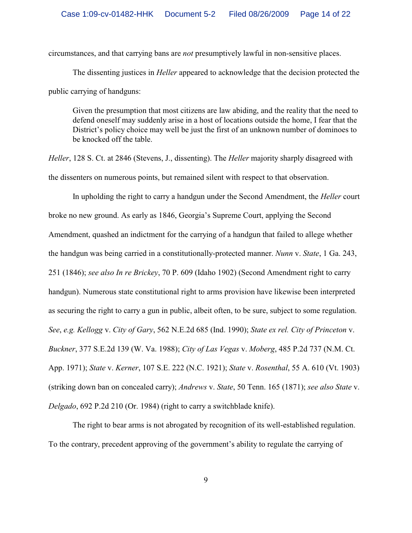circumstances, and that carrying bans are *not* presumptively lawful in non-sensitive places.

The dissenting justices in *Heller* appeared to acknowledge that the decision protected the public carrying of handguns:

Given the presumption that most citizens are law abiding, and the reality that the need to defend oneself may suddenly arise in a host of locations outside the home, I fear that the District's policy choice may well be just the first of an unknown number of dominoes to be knocked off the table.

*Heller*, 128 S. Ct. at 2846 (Stevens, J., dissenting). The *Heller* majority sharply disagreed with the dissenters on numerous points, but remained silent with respect to that observation.

In upholding the right to carry a handgun under the Second Amendment, the *Heller* court broke no new ground. As early as 1846, Georgia's Supreme Court, applying the Second Amendment, quashed an indictment for the carrying of a handgun that failed to allege whether the handgun was being carried in a constitutionally-protected manner. *Nunn* v. *State*, 1 Ga. 243, 251 (1846); *see also In re Brickey*, 70 P. 609 (Idaho 1902) (Second Amendment right to carry handgun). Numerous state constitutional right to arms provision have likewise been interpreted as securing the right to carry a gun in public, albeit often, to be sure, subject to some regulation. *See*, *e.g. Kellogg* v. *City of Gary*, 562 N.E.2d 685 (Ind. 1990); *State ex rel. City of Princeton* v. *Buckner*, 377 S.E.2d 139 (W. Va. 1988); *City of Las Vegas* v. *Moberg*, 485 P.2d 737 (N.M. Ct. App. 1971); *State* v. *Kerner*, 107 S.E. 222 (N.C. 1921); *State* v. *Rosenthal*, 55 A. 610 (Vt. 1903) (striking down ban on concealed carry); *Andrews* v. *State*, 50 Tenn. 165 (1871); *see also State* v. *Delgado*, 692 P.2d 210 (Or. 1984) (right to carry a switchblade knife).

The right to bear arms is not abrogated by recognition of its well-established regulation. To the contrary, precedent approving of the government's ability to regulate the carrying of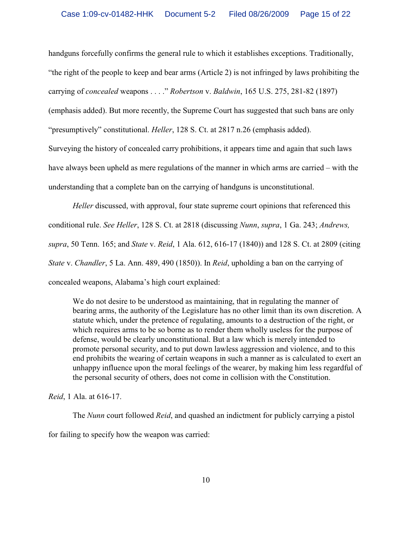handguns forcefully confirms the general rule to which it establishes exceptions. Traditionally, "the right of the people to keep and bear arms (Article 2) is not infringed by laws prohibiting the carrying of *concealed* weapons . . . ." *Robertson* v. *Baldwin*, 165 U.S. 275, 281-82 (1897)

(emphasis added). But more recently, the Supreme Court has suggested that such bans are only

"presumptively" constitutional. *Heller*, 128 S. Ct. at 2817 n.26 (emphasis added).

Surveying the history of concealed carry prohibitions, it appears time and again that such laws have always been upheld as mere regulations of the manner in which arms are carried – with the understanding that a complete ban on the carrying of handguns is unconstitutional.

*Heller* discussed, with approval, four state supreme court opinions that referenced this conditional rule. *See Heller*, 128 S. Ct. at 2818 (discussing *Nunn*, *supra*, 1 Ga. 243; *Andrews, supra*, 50 Tenn. 165; and *State* v. *Reid*, 1 Ala. 612, 616-17 (1840)) and 128 S. Ct. at 2809 (citing *State* v. *Chandler*, 5 La. Ann. 489, 490 (1850)). In *Reid*, upholding a ban on the carrying of concealed weapons, Alabama's high court explained:

We do not desire to be understood as maintaining, that in regulating the manner of bearing arms, the authority of the Legislature has no other limit than its own discretion. A statute which, under the pretence of regulating, amounts to a destruction of the right, or which requires arms to be so borne as to render them wholly useless for the purpose of defense, would be clearly unconstitutional. But a law which is merely intended to promote personal security, and to put down lawless aggression and violence, and to this end prohibits the wearing of certain weapons in such a manner as is calculated to exert an unhappy influence upon the moral feelings of the wearer, by making him less regardful of the personal security of others, does not come in collision with the Constitution.

*Reid*, 1 Ala. at 616-17.

The *Nunn* court followed *Reid*, and quashed an indictment for publicly carrying a pistol

for failing to specify how the weapon was carried: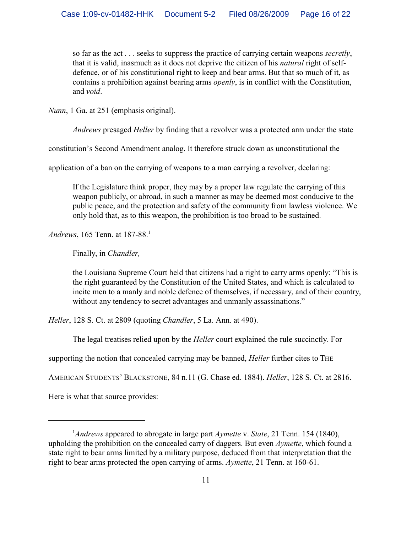so far as the act . . . seeks to suppress the practice of carrying certain weapons *secretly*, that it is valid, inasmuch as it does not deprive the citizen of his *natural* right of selfdefence, or of his constitutional right to keep and bear arms. But that so much of it, as contains a prohibition against bearing arms *openly*, is in conflict with the Constitution, and *void*.

*Nunn*, 1 Ga. at 251 (emphasis original).

*Andrews* presaged *Heller* by finding that a revolver was a protected arm under the state

constitution's Second Amendment analog. It therefore struck down as unconstitutional the

application of a ban on the carrying of weapons to a man carrying a revolver, declaring:

If the Legislature think proper, they may by a proper law regulate the carrying of this weapon publicly, or abroad, in such a manner as may be deemed most conducive to the public peace, and the protection and safety of the community from lawless violence. We only hold that, as to this weapon, the prohibition is too broad to be sustained.

*Andrews*, 165 Tenn. at 187-88.<sup>1</sup>

Finally, in *Chandler,* 

the Louisiana Supreme Court held that citizens had a right to carry arms openly: "This is the right guaranteed by the Constitution of the United States, and which is calculated to incite men to a manly and noble defence of themselves, if necessary, and of their country, without any tendency to secret advantages and unmanly assassinations."

*Heller*, 128 S. Ct. at 2809 (quoting *Chandler*, 5 La. Ann. at 490).

The legal treatises relied upon by the *Heller* court explained the rule succinctly. For

supporting the notion that concealed carrying may be banned, *Heller* further cites to THE

AMERICAN STUDENTS' BLACKSTONE, 84 n.11 (G. Chase ed. 1884). *Heller*, 128 S. Ct. at 2816.

Here is what that source provides:

<sup>&</sup>lt;sup>1</sup> Andrews appeared to abrogate in large part *Aymette v. State*, 21 Tenn. 154 (1840), upholding the prohibition on the concealed carry of daggers. But even *Aymette*, which found a state right to bear arms limited by a military purpose, deduced from that interpretation that the right to bear arms protected the open carrying of arms. *Aymette*, 21 Tenn. at 160-61.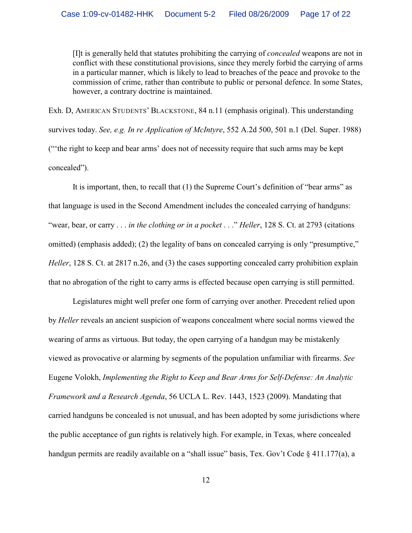[I]t is generally held that statutes prohibiting the carrying of *concealed* weapons are not in conflict with these constitutional provisions, since they merely forbid the carrying of arms in a particular manner, which is likely to lead to breaches of the peace and provoke to the commission of crime, rather than contribute to public or personal defence. In some States, however, a contrary doctrine is maintained.

Exh. D, AMERICAN STUDENTS' BLACKSTONE, 84 n.11 (emphasis original). This understanding survives today. *See, e.g. In re Application of McIntyre*, 552 A.2d 500, 501 n.1 (Del. Super. 1988) ("'the right to keep and bear arms' does not of necessity require that such arms may be kept concealed").

It is important, then, to recall that (1) the Supreme Court's definition of "bear arms" as that language is used in the Second Amendment includes the concealed carrying of handguns: "wear, bear, or carry . . . *in the clothing or in a pocket* . . ." *Heller*, 128 S. Ct. at 2793 (citations omitted) (emphasis added); (2) the legality of bans on concealed carrying is only "presumptive," *Heller*, 128 S. Ct. at 2817 n.26, and (3) the cases supporting concealed carry prohibition explain that no abrogation of the right to carry arms is effected because open carrying is still permitted.

Legislatures might well prefer one form of carrying over another. Precedent relied upon by *Heller* reveals an ancient suspicion of weapons concealment where social norms viewed the wearing of arms as virtuous. But today, the open carrying of a handgun may be mistakenly viewed as provocative or alarming by segments of the population unfamiliar with firearms. *See* Eugene Volokh, *Implementing the Right to Keep and Bear Arms for Self-Defense: An Analytic Framework and a Research Agenda*, 56 UCLA L. Rev. 1443, 1523 (2009). Mandating that carried handguns be concealed is not unusual, and has been adopted by some jurisdictions where the public acceptance of gun rights is relatively high. For example, in Texas, where concealed handgun permits are readily available on a "shall issue" basis, Tex. Gov't Code § 411.177(a), a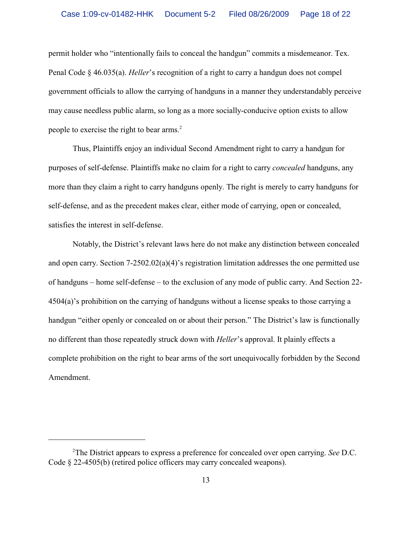permit holder who "intentionally fails to conceal the handgun" commits a misdemeanor. Tex. Penal Code § 46.035(a). *Heller*'s recognition of a right to carry a handgun does not compel government officials to allow the carrying of handguns in a manner they understandably perceive may cause needless public alarm, so long as a more socially-conducive option exists to allow people to exercise the right to bear arms.<sup>2</sup>

Thus, Plaintiffs enjoy an individual Second Amendment right to carry a handgun for purposes of self-defense. Plaintiffs make no claim for a right to carry *concealed* handguns, any more than they claim a right to carry handguns openly. The right is merely to carry handguns for self-defense, and as the precedent makes clear, either mode of carrying, open or concealed, satisfies the interest in self-defense.

Notably, the District's relevant laws here do not make any distinction between concealed and open carry. Section 7-2502.02(a)(4)'s registration limitation addresses the one permitted use of handguns – home self-defense – to the exclusion of any mode of public carry. And Section 22- 4504(a)'s prohibition on the carrying of handguns without a license speaks to those carrying a handgun "either openly or concealed on or about their person." The District's law is functionally no different than those repeatedly struck down with *Heller*'s approval. It plainly effects a complete prohibition on the right to bear arms of the sort unequivocally forbidden by the Second Amendment.

The District appears to express a preference for concealed over open carrying. *See* D.C. <sup>2</sup> Code § 22-4505(b) (retired police officers may carry concealed weapons).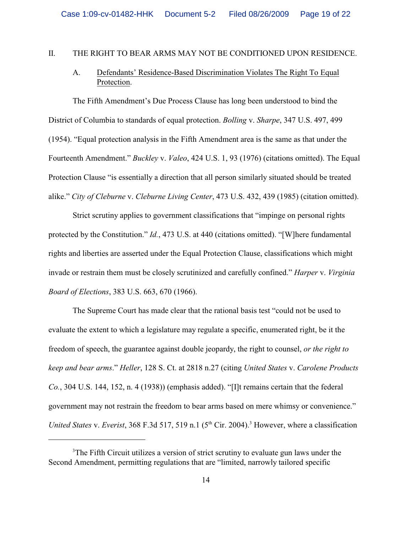#### II. THE RIGHT TO BEAR ARMS MAY NOT BE CONDITIONED UPON RESIDENCE.

## A. Defendants' Residence-Based Discrimination Violates The Right To Equal Protection.

The Fifth Amendment's Due Process Clause has long been understood to bind the District of Columbia to standards of equal protection. *Bolling* v. *Sharpe*, 347 U.S. 497, 499 (1954). "Equal protection analysis in the Fifth Amendment area is the same as that under the Fourteenth Amendment." *Buckley* v. *Valeo*, 424 U.S. 1, 93 (1976) (citations omitted). The Equal Protection Clause "is essentially a direction that all person similarly situated should be treated alike." *City of Cleburne* v. *Cleburne Living Center*, 473 U.S. 432, 439 (1985) (citation omitted).

Strict scrutiny applies to government classifications that "impinge on personal rights protected by the Constitution." *Id.*, 473 U.S. at 440 (citations omitted). "[W]here fundamental rights and liberties are asserted under the Equal Protection Clause, classifications which might invade or restrain them must be closely scrutinized and carefully confined." *Harper* v. *Virginia Board of Elections*, 383 U.S. 663, 670 (1966).

The Supreme Court has made clear that the rational basis test "could not be used to evaluate the extent to which a legislature may regulate a specific, enumerated right, be it the freedom of speech, the guarantee against double jeopardy, the right to counsel, *or the right to keep and bear arms*." *Heller*, 128 S. Ct. at 2818 n.27 (citing *United States* v. *Carolene Products Co.*, 304 U.S. 144, 152, n. 4 (1938)) (emphasis added). "[I]t remains certain that the federal government may not restrain the freedom to bear arms based on mere whimsy or convenience." *United States v. Everist*, 368 F.3d 517, 519 n.1 ( $5<sup>th</sup> Cir. 2004$ ).<sup>3</sup> However, where a classification

<sup>&</sup>lt;sup>3</sup>The Fifth Circuit utilizes a version of strict scrutiny to evaluate gun laws under the Second Amendment, permitting regulations that are "limited, narrowly tailored specific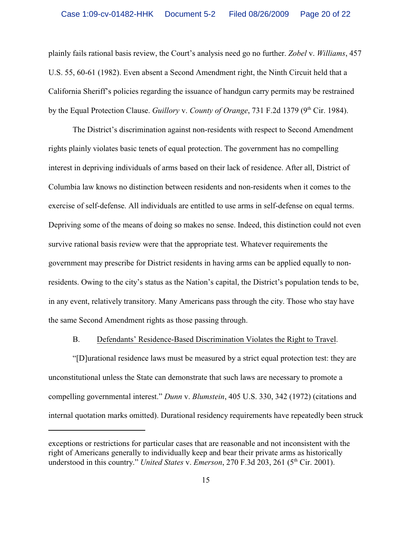plainly fails rational basis review, the Court's analysis need go no further. *Zobel* v. *Williams*, 457 U.S. 55, 60-61 (1982). Even absent a Second Amendment right, the Ninth Circuit held that a California Sheriff's policies regarding the issuance of handgun carry permits may be restrained by the Equal Protection Clause. *Guillory v. County of Orange*, 731 F.2d 1379 (9<sup>th</sup> Cir. 1984).

The District's discrimination against non-residents with respect to Second Amendment rights plainly violates basic tenets of equal protection. The government has no compelling interest in depriving individuals of arms based on their lack of residence. After all, District of Columbia law knows no distinction between residents and non-residents when it comes to the exercise of self-defense. All individuals are entitled to use arms in self-defense on equal terms. Depriving some of the means of doing so makes no sense. Indeed, this distinction could not even survive rational basis review were that the appropriate test. Whatever requirements the government may prescribe for District residents in having arms can be applied equally to nonresidents. Owing to the city's status as the Nation's capital, the District's population tends to be, in any event, relatively transitory. Many Americans pass through the city. Those who stay have the same Second Amendment rights as those passing through.

#### B. Defendants' Residence-Based Discrimination Violates the Right to Travel.

"[D]urational residence laws must be measured by a strict equal protection test: they are unconstitutional unless the State can demonstrate that such laws are necessary to promote a compelling governmental interest." *Dunn* v. *Blumstein*, 405 U.S. 330, 342 (1972) (citations and internal quotation marks omitted). Durational residency requirements have repeatedly been struck

exceptions or restrictions for particular cases that are reasonable and not inconsistent with the right of Americans generally to individually keep and bear their private arms as historically understood in this country." *United States v. Emerson*, 270 F.3d 203, 261 (5<sup>th</sup> Cir. 2001).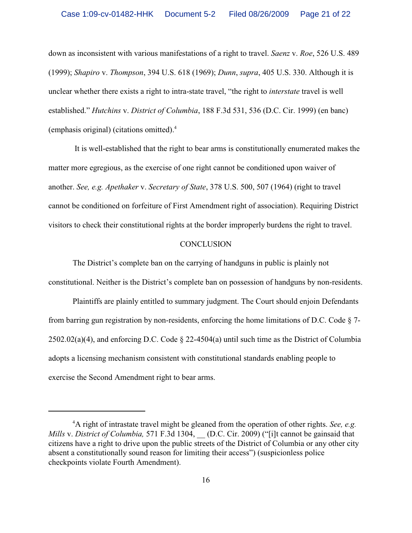down as inconsistent with various manifestations of a right to travel. *Saenz* v. *Roe*, 526 U.S. 489 (1999); *Shapiro* v. *Thompson*, 394 U.S. 618 (1969); *Dunn*, *supra*, 405 U.S. 330. Although it is unclear whether there exists a right to intra-state travel, "the right to *interstate* travel is well established." *Hutchins* v. *District of Columbia*, 188 F.3d 531, 536 (D.C. Cir. 1999) (en banc) (emphasis original) (citations omitted).<sup>4</sup>

 It is well-established that the right to bear arms is constitutionally enumerated makes the matter more egregious, as the exercise of one right cannot be conditioned upon waiver of another. *See, e.g. Apethaker* v. *Secretary of State*, 378 U.S. 500, 507 (1964) (right to travel cannot be conditioned on forfeiture of First Amendment right of association). Requiring District visitors to check their constitutional rights at the border improperly burdens the right to travel.

#### **CONCLUSION**

The District's complete ban on the carrying of handguns in public is plainly not constitutional. Neither is the District's complete ban on possession of handguns by non-residents.

Plaintiffs are plainly entitled to summary judgment. The Court should enjoin Defendants from barring gun registration by non-residents, enforcing the home limitations of D.C. Code § 7- 2502.02(a)(4), and enforcing D.C. Code § 22-4504(a) until such time as the District of Columbia adopts a licensing mechanism consistent with constitutional standards enabling people to exercise the Second Amendment right to bear arms.

<sup>&</sup>lt;sup>4</sup>A right of intrastate travel might be gleaned from the operation of other rights. *See, e.g. Mills* v. *District of Columbia,* 571 F.3d 1304, (D.C. Cir. 2009) ("[i]t cannot be gainsaid that citizens have a right to drive upon the public streets of the District of Columbia or any other city absent a constitutionally sound reason for limiting their access") (suspicionless police checkpoints violate Fourth Amendment).